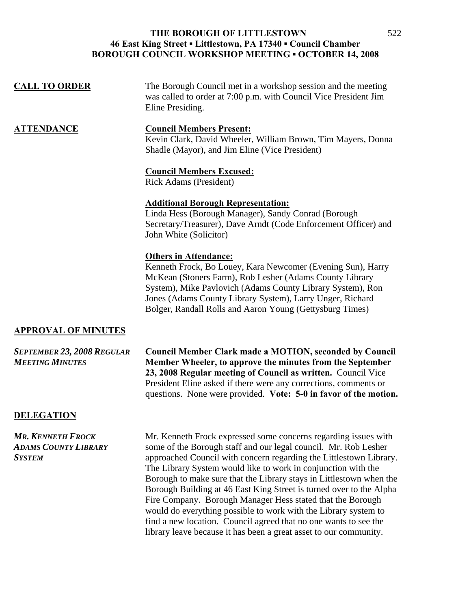| <b>CALL TO ORDER</b>       | The Borough Council met in a workshop session and the meeting<br>was called to order at 7:00 p.m. with Council Vice President Jim<br>Eline Presiding.                                                                                                                                                                                         |
|----------------------------|-----------------------------------------------------------------------------------------------------------------------------------------------------------------------------------------------------------------------------------------------------------------------------------------------------------------------------------------------|
| <u>ATTENDANCE</u>          | <b>Council Members Present:</b><br>Kevin Clark, David Wheeler, William Brown, Tim Mayers, Donna<br>Shadle (Mayor), and Jim Eline (Vice President)                                                                                                                                                                                             |
|                            | <b>Council Members Excused:</b><br>Rick Adams (President)                                                                                                                                                                                                                                                                                     |
|                            | <b>Additional Borough Representation:</b><br>Linda Hess (Borough Manager), Sandy Conrad (Borough<br>Secretary/Treasurer), Dave Arndt (Code Enforcement Officer) and<br>John White (Solicitor)                                                                                                                                                 |
|                            | <b>Others in Attendance:</b><br>Kenneth Frock, Bo Louey, Kara Newcomer (Evening Sun), Harry<br>McKean (Stoners Farm), Rob Lesher (Adams County Library<br>System), Mike Pavlovich (Adams County Library System), Ron<br>Jones (Adams County Library System), Larry Unger, Richard<br>Bolger, Randall Rolls and Aaron Young (Gettysburg Times) |
| <b>APPROVAL OF MINUTES</b> |                                                                                                                                                                                                                                                                                                                                               |

*SEPTEMBER 23, 2008 REGULAR* **Council Member Clark made a MOTION, seconded by Council**  *MEETING MINUTES* **Member Wheeler, to approve the minutes from the September 23, 2008 Regular meeting of Council as written.** Council Vice President Eline asked if there were any corrections, comments or questions. None were provided. **Vote: 5-0 in favor of the motion.**

#### **DELEGATION**

**MR. KENNETH FROCK** Mr. Kenneth Frock expressed some concerns regarding issues with *ADAMS COUNTY LIBRARY* some of the Borough staff and our legal council. Mr. Rob Lesher **SYSTEM** approached Council with concern regarding the Littlestown Library. The Library System would like to work in conjunction with the Borough to make sure that the Library stays in Littlestown when the Borough Building at 46 East King Street is turned over to the Alpha Fire Company. Borough Manager Hess stated that the Borough would do everything possible to work with the Library system to find a new location. Council agreed that no one wants to see the library leave because it has been a great asset to our community.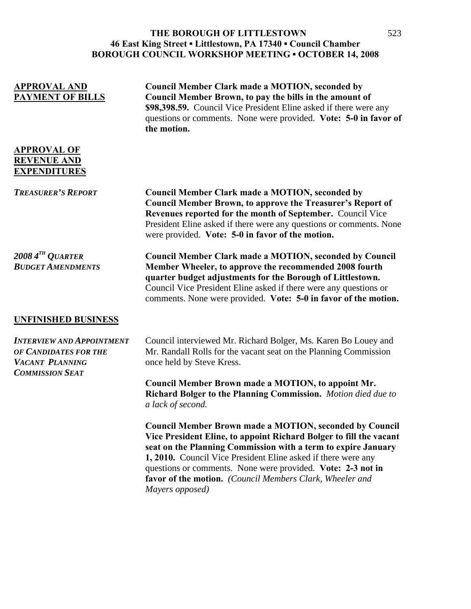| <b>APPROVAL AND</b><br><b>PAYMENT OF BILLS</b>                                                         | <b>Council Member Clark made a MOTION, seconded by</b><br>Council Member Brown, to pay the bills in the amount of<br>\$98,398.59. Council Vice President Eline asked if there were any<br>questions or comments. None were provided. Vote: 5-0 in favor of<br>the motion.                                                                                                                                            |
|--------------------------------------------------------------------------------------------------------|----------------------------------------------------------------------------------------------------------------------------------------------------------------------------------------------------------------------------------------------------------------------------------------------------------------------------------------------------------------------------------------------------------------------|
| <b>APPROVAL OF</b><br><b>REVENUE AND</b><br><b>EXPENDITURES</b>                                        |                                                                                                                                                                                                                                                                                                                                                                                                                      |
| <b>TREASURER'S REPORT</b>                                                                              | <b>Council Member Clark made a MOTION, seconded by</b><br><b>Council Member Brown, to approve the Treasurer's Report of</b><br>Revenues reported for the month of September. Council Vice<br>President Eline asked if there were any questions or comments. None<br>were provided. Vote: 5-0 in favor of the motion.                                                                                                 |
| $2008\,4^{TH}\,Q$ UARTER<br><b>BUDGET AMENDMENTS</b>                                                   | <b>Council Member Clark made a MOTION, seconded by Council</b><br>Member Wheeler, to approve the recommended 2008 fourth<br>quarter budget adjustments for the Borough of Littlestown.<br>Council Vice President Eline asked if there were any questions or<br>comments. None were provided. Vote: 5-0 in favor of the motion.                                                                                       |
| <b>UNFINISHED BUSINESS</b>                                                                             |                                                                                                                                                                                                                                                                                                                                                                                                                      |
| <b>INTERVIEW AND APPOINTMENT</b><br>OF CANDIDATES FOR THE<br>VACANT PLANNING<br><b>COMMISSION SEAT</b> | Council interviewed Mr. Richard Bolger, Ms. Karen Bo Louey and<br>Mr. Randall Rolls for the vacant seat on the Planning Commission<br>once held by Steve Kress.                                                                                                                                                                                                                                                      |
|                                                                                                        | Council Member Brown made a MOTION, to appoint Mr.<br>Richard Bolger to the Planning Commission. Motion died due to<br>a lack of second.                                                                                                                                                                                                                                                                             |
|                                                                                                        | <b>Council Member Brown made a MOTION, seconded by Council</b><br>Vice President Eline, to appoint Richard Bolger to fill the vacant<br>seat on the Planning Commission with a term to expire January<br>1, 2010. Council Vice President Eline asked if there were any<br>questions or comments. None were provided. Vote: 2-3 not in<br>favor of the motion. (Council Members Clark, Wheeler and<br>Mayers opposed) |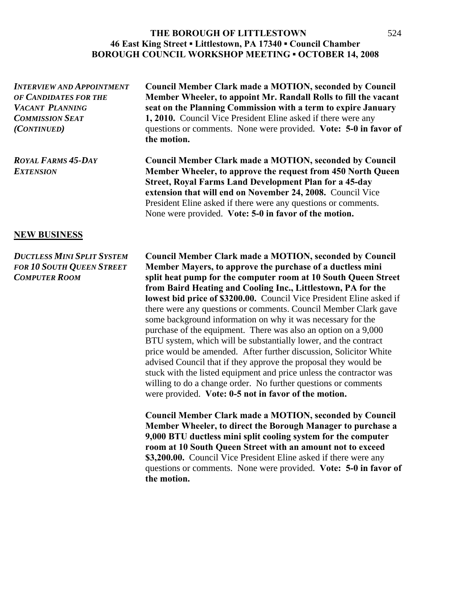*INTERVIEW AND APPOINTMENT* **Council Member Clark made a MOTION, seconded by Council** *OF CANDIDATES FOR THE* **Member Wheeler, to appoint Mr. Randall Rolls to fill the vacant**  *VACANT PLANNING* **seat on the Planning Commission with a term to expire January COMMISSION SEAT** 1, 2010. Council Vice President Eline asked if there were any *(CONTINUED)* questions or comments. None were provided. **Vote: 5-0 in favor of the motion.**  *ROYAL FARMS 45-DAY* **Council Member Clark made a MOTION, seconded by Council**  *EXTENSION* **Member Wheeler, to approve the request from 450 North Queen Street, Royal Farms Land Development Plan for a 45-day extension that will end on November 24, 2008.** Council Vice President Eline asked if there were any questions or comments. None were provided. **Vote: 5-0 in favor of the motion.** 

### **NEW BUSINESS**

*DUCTLESS MINI SPLIT SYSTEM* **Council Member Clark made a MOTION, seconded by Council**  *FOR 10 SOUTH QUEEN STREET* **Member Mayers, to approve the purchase of a ductless mini**  *COMPUTER ROOM* **split heat pump for the computer room at 10 South Queen Street from Baird Heating and Cooling Inc., Littlestown, PA for the lowest bid price of \$3200.00.** Council Vice President Eline asked if there were any questions or comments. Council Member Clark gave some background information on why it was necessary for the purchase of the equipment. There was also an option on a 9,000 BTU system, which will be substantially lower, and the contract price would be amended. After further discussion, Solicitor White advised Council that if they approve the proposal they would be stuck with the listed equipment and price unless the contractor was willing to do a change order. No further questions or comments were provided. **Vote: 0-5 not in favor of the motion.** 

> **Council Member Clark made a MOTION, seconded by Council Member Wheeler, to direct the Borough Manager to purchase a 9,000 BTU ductless mini split cooling system for the computer room at 10 South Queen Street with an amount not to exceed \$3,200.00.** Council Vice President Eline asked if there were any questions or comments. None were provided. **Vote: 5-0 in favor of the motion.**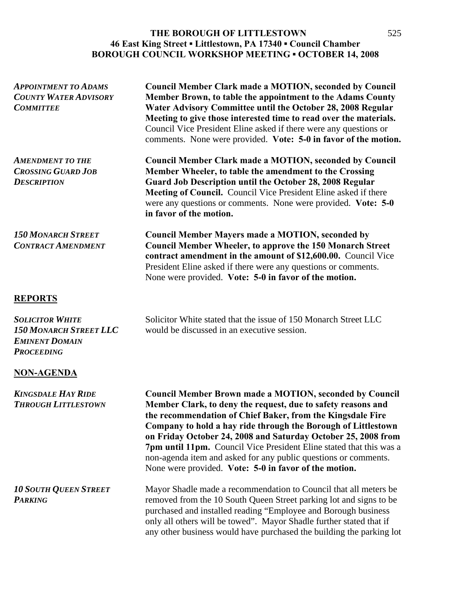| <b>APPOINTMENT TO ADAMS</b><br><b>COUNTY WATER ADVISORY</b><br><b>COMMITTEE</b>                       | <b>Council Member Clark made a MOTION, seconded by Council</b><br>Member Brown, to table the appointment to the Adams County<br>Water Advisory Committee until the October 28, 2008 Regular<br>Meeting to give those interested time to read over the materials.<br>Council Vice President Eline asked if there were any questions or<br>comments. None were provided. Vote: 5-0 in favor of the motion.                                                                                                                          |
|-------------------------------------------------------------------------------------------------------|-----------------------------------------------------------------------------------------------------------------------------------------------------------------------------------------------------------------------------------------------------------------------------------------------------------------------------------------------------------------------------------------------------------------------------------------------------------------------------------------------------------------------------------|
| <b>AMENDMENT TO THE</b><br><b>CROSSING GUARD JOB</b><br><b>DESCRIPTION</b>                            | <b>Council Member Clark made a MOTION, seconded by Council</b><br>Member Wheeler, to table the amendment to the Crossing<br>Guard Job Description until the October 28, 2008 Regular<br>Meeting of Council. Council Vice President Eline asked if there<br>were any questions or comments. None were provided. Vote: 5-0<br>in favor of the motion.                                                                                                                                                                               |
| <b>150 MONARCH STREET</b><br><b>CONTRACT AMENDMENT</b>                                                | <b>Council Member Mayers made a MOTION, seconded by</b><br><b>Council Member Wheeler, to approve the 150 Monarch Street</b><br>contract amendment in the amount of \$12,600.00. Council Vice<br>President Eline asked if there were any questions or comments.<br>None were provided. Vote: 5-0 in favor of the motion.                                                                                                                                                                                                           |
| <b>REPORTS</b>                                                                                        |                                                                                                                                                                                                                                                                                                                                                                                                                                                                                                                                   |
| <b>SOLICITOR WHITE</b><br><b>150 MONARCH STREET LLC</b><br><b>EMINENT DOMAIN</b><br><b>PROCEEDING</b> | Solicitor White stated that the issue of 150 Monarch Street LLC<br>would be discussed in an executive session.                                                                                                                                                                                                                                                                                                                                                                                                                    |
| <b>NON-AGENDA</b>                                                                                     |                                                                                                                                                                                                                                                                                                                                                                                                                                                                                                                                   |
| <b>KINGSDALE HAY RIDE</b><br><b>THROUGH LITTLESTOWN</b>                                               | <b>Council Member Brown made a MOTION, seconded by Council</b><br>Member Clark, to deny the request, due to safety reasons and<br>the recommendation of Chief Baker, from the Kingsdale Fire<br>Company to hold a hay ride through the Borough of Littlestown<br>on Friday October 24, 2008 and Saturday October 25, 2008 from<br>7pm until 11pm. Council Vice President Eline stated that this was a<br>non-agenda item and asked for any public questions or comments.<br>None were provided. Vote: 5-0 in favor of the motion. |
| <b>10 SOUTH QUEEN STREET</b><br><b>PARKING</b>                                                        | Mayor Shadle made a recommendation to Council that all meters be<br>removed from the 10 South Queen Street parking lot and signs to be<br>purchased and installed reading "Employee and Borough business<br>only all others will be towed". Mayor Shadle further stated that if<br>any other business would have purchased the building the parking lot                                                                                                                                                                           |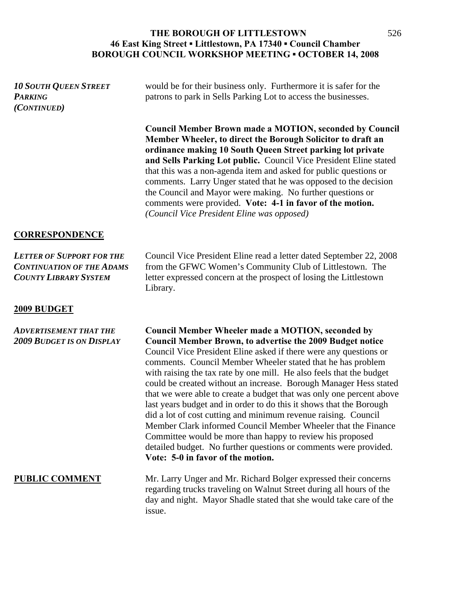| <b>10 SOUTH QUEEN STREET</b><br><b>PARKING</b><br>(CONTINUED)                                        | would be for their business only. Furthermore it is safer for the<br>patrons to park in Sells Parking Lot to access the businesses.                                                                                                                                                                                                                                                                                                                                                                                                                                                                                                                                                                                                                                                                                                                                   |
|------------------------------------------------------------------------------------------------------|-----------------------------------------------------------------------------------------------------------------------------------------------------------------------------------------------------------------------------------------------------------------------------------------------------------------------------------------------------------------------------------------------------------------------------------------------------------------------------------------------------------------------------------------------------------------------------------------------------------------------------------------------------------------------------------------------------------------------------------------------------------------------------------------------------------------------------------------------------------------------|
|                                                                                                      | <b>Council Member Brown made a MOTION, seconded by Council</b><br>Member Wheeler, to direct the Borough Solicitor to draft an<br>ordinance making 10 South Queen Street parking lot private<br>and Sells Parking Lot public. Council Vice President Eline stated<br>that this was a non-agenda item and asked for public questions or<br>comments. Larry Unger stated that he was opposed to the decision<br>the Council and Mayor were making. No further questions or<br>comments were provided. Vote: 4-1 in favor of the motion.<br>(Council Vice President Eline was opposed)                                                                                                                                                                                                                                                                                    |
| <b>CORRESPONDENCE</b>                                                                                |                                                                                                                                                                                                                                                                                                                                                                                                                                                                                                                                                                                                                                                                                                                                                                                                                                                                       |
| <b>LETTER OF SUPPORT FOR THE</b><br><b>CONTINUATION OF THE ADAMS</b><br><b>COUNTY LIBRARY SYSTEM</b> | Council Vice President Eline read a letter dated September 22, 2008<br>from the GFWC Women's Community Club of Littlestown. The<br>letter expressed concern at the prospect of losing the Littlestown<br>Library.                                                                                                                                                                                                                                                                                                                                                                                                                                                                                                                                                                                                                                                     |
| 2009 BUDGET                                                                                          |                                                                                                                                                                                                                                                                                                                                                                                                                                                                                                                                                                                                                                                                                                                                                                                                                                                                       |
| <b>ADVERTISEMENT THAT THE</b><br><b>2009 BUDGET IS ON DISPLAY</b>                                    | <b>Council Member Wheeler made a MOTION, seconded by</b><br><b>Council Member Brown, to advertise the 2009 Budget notice</b><br>Council Vice President Eline asked if there were any questions or<br>comments. Council Member Wheeler stated that he has problem<br>with raising the tax rate by one mill. He also feels that the budget<br>could be created without an increase. Borough Manager Hess stated<br>that we were able to create a budget that was only one percent above<br>last years budget and in order to do this it shows that the Borough<br>did a lot of cost cutting and minimum revenue raising. Council<br>Member Clark informed Council Member Wheeler that the Finance<br>Committee would be more than happy to review his proposed<br>detailed budget. No further questions or comments were provided.<br>Vote: 5-0 in favor of the motion. |
| <b>PUBLIC COMMENT</b>                                                                                | Mr. Larry Unger and Mr. Richard Bolger expressed their concerns<br>regarding trucks traveling on Walnut Street during all hours of the<br>day and night. Mayor Shadle stated that she would take care of the                                                                                                                                                                                                                                                                                                                                                                                                                                                                                                                                                                                                                                                          |

issue.